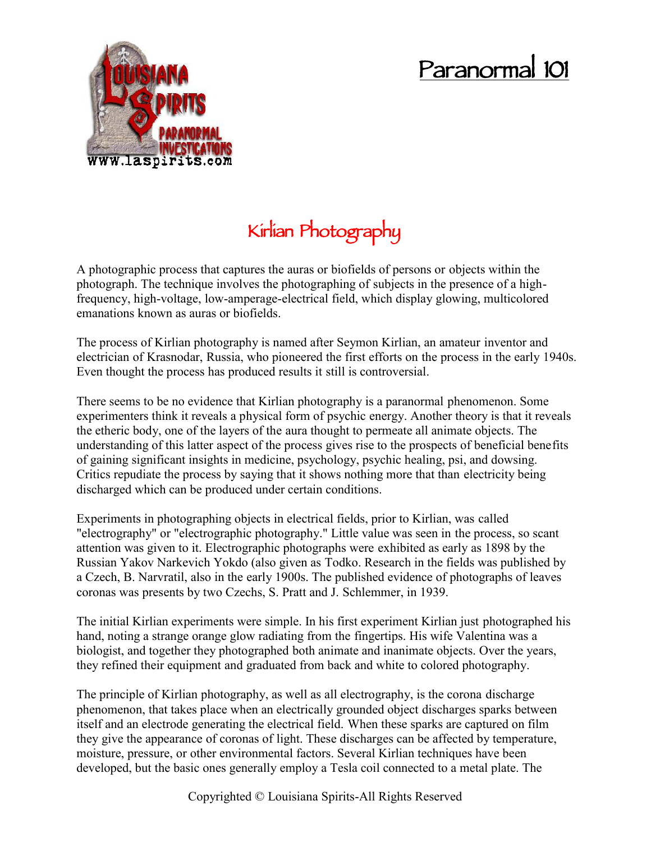## **Paranormal 101**



## **Kirlian Photography**

A photographic process that captures the auras or biofields of persons or objects within the photograph. The technique involves the photographing of subjects in the presence of a highfrequency, high-voltage, low-amperage-electrical field, which display glowing, multicolored emanations known as auras or biofields.

The process of Kirlian photography is named after Seymon Kirlian, an amateur inventor and electrician of Krasnodar, Russia, who pioneered the first efforts on the process in the early 1940s. Even thought the process has produced results it still is controversial.

There seems to be no evidence that Kirlian photography is a paranormal phenomenon. Some experimenters think it reveals a physical form of psychic energy. Another theory is that it reveals the etheric body, one of the layers of the aura thought to permeate all animate objects. The understanding of this latter aspect of the process gives rise to the prospects of beneficial benefits of gaining significant insights in medicine, psychology, psychic healing, psi, and dowsing. Critics repudiate the process by saying that it shows nothing more that than electricity being discharged which can be produced under certain conditions.

Experiments in photographing objects in electrical fields, prior to Kirlian, was called "electrography" or "electrographic photography." Little value was seen in the process, so scant attention was given to it. Electrographic photographs were exhibited as early as 1898 by the Russian Yakov Narkevich Yokdo (also given as Todko. Research in the fields was published by a Czech, B. Narvratil, also in the early 1900s. The published evidence of photographs of leaves coronas was presents by two Czechs, S. Pratt and J. Schlemmer, in 1939.

The initial Kirlian experiments were simple. In his first experiment Kirlian just photographed his hand, noting a strange orange glow radiating from the fingertips. His wife Valentina was a biologist, and together they photographed both animate and inanimate objects. Over the years, they refined their equipment and graduated from back and white to colored photography.

The principle of Kirlian photography, as well as all electrography, is the corona discharge phenomenon, that takes place when an electrically grounded object discharges sparks between itself and an electrode generating the electrical field. When these sparks are captured on film they give the appearance of coronas of light. These discharges can be affected by temperature, moisture, pressure, or other environmental factors. Several Kirlian techniques have been developed, but the basic ones generally employ a Tesla coil connected to a metal plate. The